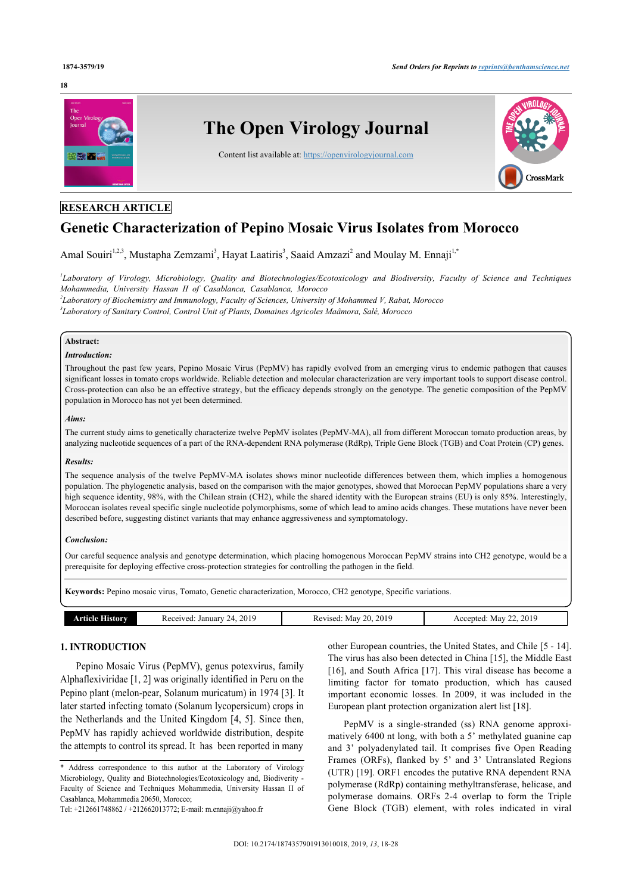#### **18**



# **RESEARCH ARTICLE**

# **Genetic Characterization of Pepino Mosaic Virus Isolates from Morocco**

Amal Souiri<sup>[1,](#page-0-0)[2,](#page-0-1)[3](#page-0-2)</sup>, Mustapha Zemzami<sup>3</sup>, Hayat Laatiris<sup>3</sup>, Saaid Amzazi<sup>[2](#page-0-1)</sup> and Moulay M. Ennaji<sup>[1](#page-0-0),[\\*](#page-0-3)</sup>

<span id="page-0-0"></span>*1 Laboratory of Virology, Microbiology, Quality and Biotechnologies/Ecotoxicology and Biodiversity, Faculty of Science and Techniques Mohammedia, University Hassan II of Casablanca, Casablanca, Morocco*

<span id="page-0-2"></span><span id="page-0-1"></span>*2 Laboratory of Biochemistry and Immunology, Faculty of Sciences, University of Mohammed V, Rabat, Morocco 3 Laboratory of Sanitary Control, Control Unit of Plants, Domaines Agricoles Maâmora, Salé, Morocco*

# **Abstract:**

### *Introduction:*

Throughout the past few years, Pepino Mosaic Virus (PepMV) has rapidly evolved from an emerging virus to endemic pathogen that causes significant losses in tomato crops worldwide. Reliable detection and molecular characterization are very important tools to support disease control. Cross-protection can also be an effective strategy, but the efficacy depends strongly on the genotype. The genetic composition of the PepMV population in Morocco has not yet been determined.

#### *Aims:*

The current study aims to genetically characterize twelve PepMV isolates (PepMV-MA), all from different Moroccan tomato production areas, by analyzing nucleotide sequences of a part of the RNA-dependent RNA polymerase (RdRp), Triple Gene Block (TGB) and Coat Protein (CP) genes.

#### *Results:*

The sequence analysis of the twelve PepMV-MA isolates shows minor nucleotide differences between them, which implies a homogenous population. The phylogenetic analysis, based on the comparison with the major genotypes, showed that Moroccan PepMV populations share a very high sequence identity, 98%, with the Chilean strain (CH2), while the shared identity with the European strains (EU) is only 85%. Interestingly, Moroccan isolates reveal specific single nucleotide polymorphisms, some of which lead to amino acids changes. These mutations have never been described before, suggesting distinct variants that may enhance aggressiveness and symptomatology.

# *Conclusion:*

Our careful sequence analysis and genotype determination, which placing homogenous Moroccan PepMV strains into CH2 genotype, would be a prerequisite for deploying effective cross-protection strategies for controlling the pathogen in the field.

**Keywords:** Pepino mosaic virus, Tomato, Genetic characterization, Morocco, CH2 genotype, Specific variations.

| w<br>40 L<br>ы. | orv | $\Delta$ $\Delta$ *<br>January<br>Receiver<br>ZL. | 201.<br>ω<br>-May<br>11000<br>isec | 2019<br>May<br>nteu. |
|-----------------|-----|---------------------------------------------------|------------------------------------|----------------------|
|-----------------|-----|---------------------------------------------------|------------------------------------|----------------------|

# **1. INTRODUCTION**

Pepino Mosaic Virus (PepMV), genus potexvirus, family Alphaflexiviridae [[1](#page-9-0), [2](#page-9-1)] was originally identified in Peru on the Pepino plant (melon-pear, Solanum muricatum) in 1974 [\[3\]](#page-9-2). It later started infecting tomato (Solanum lycopersicum) crops in the Netherlands and the United Kingdom [\[4](#page-9-3), [5](#page-9-4)]. Since then, PepMV has rapidly achieved worldwide distribution, despite the attempts to control its spread. It has been reported in many

other European countries, the United States, and Chile [[5](#page-9-4) - [14](#page-9-5)]. The virus has also been detected in China [[15\]](#page-9-6), the Middle East [[16](#page-9-7)], and South Africa [[17\]](#page-9-8). This viral disease has become a limiting factor for tomato production, which has caused important economic losses. In 2009, it was included in the European plant protection organization alert list [\[18](#page-9-9)].

PepMV is a single-stranded (ss) RNA genome approximatively 6400 nt long, with both a 5' methylated guanine cap and 3' polyadenylated tail. It comprises five Open Reading Frames (ORFs), flanked by 5' and 3' Untranslated Regions (UTR) [[19\]](#page-9-10). ORF1 encodes the putative RNA dependent RNA polymerase (RdRp) containing methyltransferase, helicase, and polymerase domains. ORFs 2-4 overlap to form the Triple Gene Block (TGB) element, with roles indicated in viral

<span id="page-0-3"></span><sup>\*</sup> Address correspondence to this author at the Laboratory of Virology Microbiology, Quality and Biotechnologies/Ecotoxicology and, Biodiverity - Faculty of Science and Techniques Mohammedia, University Hassan II of Casablanca, Mohammedia 20650, Morocco;

Tel: +212661748862 / +212662013772; E-mail: [m.ennaji@yahoo.fr](mailto:m.ennaji@yahoo.fr)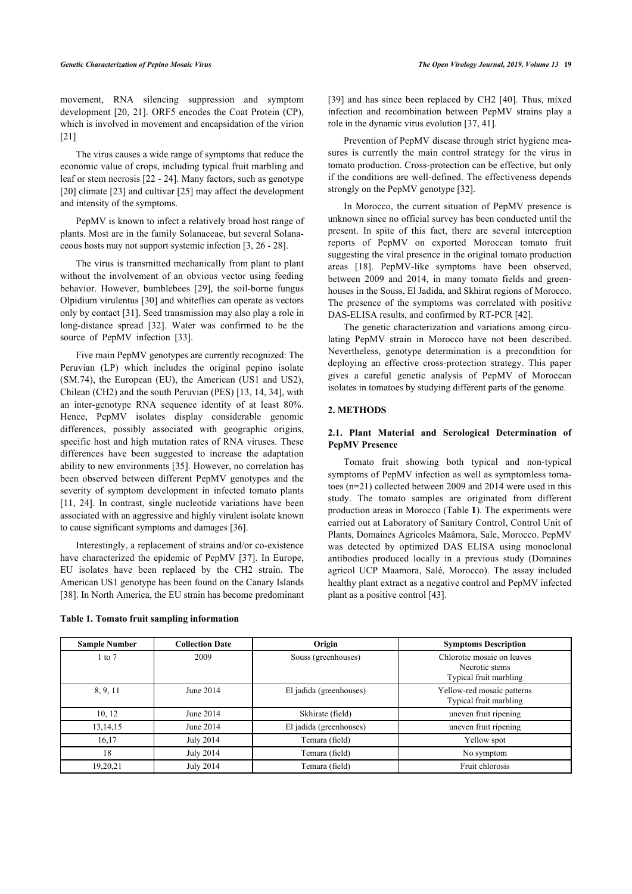movement, RNA silencing suppression and symptom development [[20,](#page-9-11) [21\]](#page-9-12). ORF5 encodes the Coat Protein (CP), which is involved in movement and encapsidation of the virion [[21\]](#page-9-12)

The virus causes a wide range of symptoms that reduce the economic value of crops, including typical fruit marbling and leaf or stem necrosis [\[22](#page-9-13) - [24](#page-9-14)]. Many factors, such as genotype [[20\]](#page-9-11) climate [[23\]](#page-9-15) and cultivar [[25](#page-9-16)] may affect the development and intensity of the symptoms.

PepMV is known to infect a relatively broad host range of plants. Most are in the family Solanaceae, but several Solanaceous hosts may not support systemic infection [[3](#page-9-2), [26](#page-9-17) - [28](#page-9-18)].

The virus is transmitted mechanically from plant to plant without the involvement of an obvious vector using feeding behavior. However, bumblebees [\[29](#page-9-19)], the soil-borne fungus Olpidium virulentus [\[30](#page-9-20)] and whiteflies can operate as vectors only by contact [\[31](#page-9-21)]. Seed transmission may also play a role in long-distance spread[[32\]](#page-9-22). Water was confirmed to be the sourceof PepMV infection [[33\]](#page-9-23).

Five main PepMV genotypes are currently recognized: The Peruvian (LP) which includes the original pepino isolate (SM.74), the European (EU), the American (US1 and US2), Chilean (CH2) and the south Peruvian (PES) [[13,](#page-9-24) [14,](#page-9-5) [34](#page-9-25)], with an inter-genotype RNA sequence identity of at least 80%. Hence, PepMV isolates display considerable genomic differences, possibly associated with geographic origins, specific host and high mutation rates of RNA viruses. These differences have been sugg[este](#page-9-26)d to increase the adaptation ability to new environments [35]. However, no correlation has been observed between different PepMV genotypes and the [seve](#page-9-27)[rity](#page-9-14) of symptom development in infected tomato plants [11, 24]. In contrast, single nucleotide variations have been associated with an aggressive and highly vir[ulen](#page-9-28)t isolate known to cause significant symptoms and damages [36].

Interestingly, a replacement of strains and[/or](#page-9-29) co-existence have characterized the epidemic of PepMV [37]. In Europe, EU isolates have been replaced by the CH2 strain. The [Am](#page-10-0)erican US1 genotype has been found on the Canary Islands [38]. In North America, the EU strain has become predominant

<span id="page-1-0"></span>**Table 1. Tomato fruit sampling information**

[[39](#page-10-1)] and has since been replaced by CH2 [[40\]](#page-10-2). Thus, mixed infection and recombination between PepMV strains play a role in the dynamic virus evolution [\[37](#page-9-29), [41\]](#page-10-3).

Prevention of PepMV disease through strict hygiene measures is currently the main control strategy for the virus in tomato production. Cross-protection can be effective, but only if the conditions are well-defined. The effectiveness depends strongly on the PepMV genotype [[32\]](#page-9-22).

In Morocco, the current situation of PepMV presence is unknown since no official survey has been conducted until the present. In spite of this fact, there are several interception reports of PepMV on exported Moroccan tomato fruit suggesting the viral presence in the original tomato production areas[[18\]](#page-9-9). PepMV-like symptoms have been observed, between 2009 and 2014, in many tomato fields and greenhouses in the Souss, El Jadida, and Skhirat regions of Morocco. The presence of the symptoms was correlated with positive DAS-ELISA results, and confirmed by RT-PCR [\[42](#page-10-4)].

The genetic characterization and variations among circulating PepMV strain in Morocco have not been described. Nevertheless, genotype determination is a precondition for deploying an effective cross-protection strategy. This paper gives a careful genetic analysis of PepMV of Moroccan isolates in tomatoes by studying different parts of the genome.

#### **2. METHODS**

# **2.1. Plant Material and Serological Determination of PepMV Presence**

Tomato fruit showing both typical and non-typical symptoms of PepMV infection as well as symptomless tomatoes (n=21) collected between 2009 and 2014 were used in this study. The tomato samples are originated from different production areas in Morocco (Table **[1](#page-1-0)**). The experiments were carried out at Laboratory of Sanitary Control, Control Unit of Plants, Domaines Agricoles Maâmora, Sale, Morocco. PepMV was detected by optimized DAS ELISA using monoclonal antibodies produced locally in a previous study (Domaines agricol UCP Maamora, Salé, Morocco). The assay included healthy plant extract as a negative control and PepMV infected plant as a positive control [[43\]](#page-10-5).

<span id="page-1-1"></span>

| <b>Sample Number</b> | <b>Collection Date</b> | Origin                  | <b>Symptoms Description</b>                                            |
|----------------------|------------------------|-------------------------|------------------------------------------------------------------------|
| $1$ to $7$           | 2009                   | Souss (greenhouses)     | Chlorotic mosaic on leaves<br>Necrotic stems<br>Typical fruit marbling |
| 8, 9, 11             | June 2014              | El jadida (greenhouses) | Yellow-red mosaic patterns<br>Typical fruit marbling                   |
| 10, 12               | June 2014              | Skhirate (field)        | uneven fruit ripening                                                  |
| 13, 14, 15           | June 2014              | El jadida (greenhouses) | uneven fruit ripening                                                  |
| 16,17                | July 2014              | Temara (field)          | Yellow spot                                                            |
| 18                   | July 2014              | Temara (field)          | No symptom                                                             |
| 19,20,21             | <b>July 2014</b>       | Temara (field)          | Fruit chlorosis                                                        |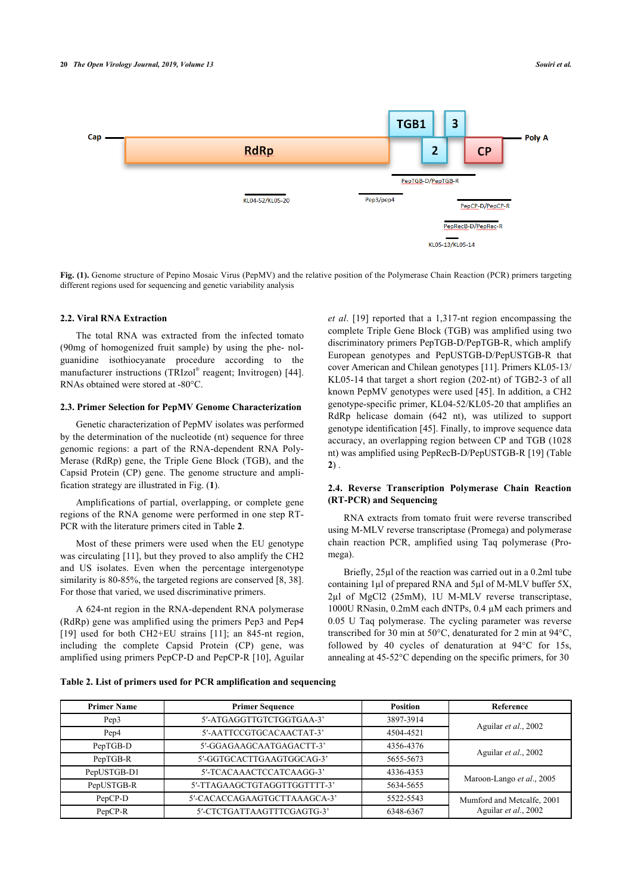

**Fig. (1).** Genome structure of Pepino Mosaic Virus (PepMV) and the relative position of the Polymerase Chain Reaction (PCR) primers targeting different regions used for sequencing and genetic variability analysis

# **2.2. Viral RNA Extraction**

The total RNA was extracted from the infected tomato (90mg of homogenized fruit sample) by using the phe- nolguanidine isothiocyanate procedure according to the manufacturer instructions (TRIzol® reagent; Invitrogen) [[44\]](#page-10-6). RNAs obtained were stored at -80°C.

#### **2.3. Primer Selection for PepMV Genome Characterization**

Genetic characterization of PepMV isolates was performed by the determination of the nucleotide (nt) sequence for three genomic regions: a part of the RNA-dependent RNA Poly-Merase (RdRp) gene, the Triple Gene Block (TGB), and the Capsid Protein (CP) gene. The genome structure and amplification strategy are illustrated in Fig. (**[1](#page-1-1)**).

Amplifications of partial, overlapping, or complete gene regions of the RNA genome were performed in one step RT-PCR with the literature primers cited in Table **[2](#page-2-0)**.

Most of these primers were used when the EU genotype was circulating [[11\]](#page-9-27), but they proved to also amplify the CH2 and US isolates. Even when the percentage intergenotype similarity is 80-85%, the targeted regions are conserved [\[8,](#page-9-30) [38](#page-10-0)]. For those that varied, we used discriminative primers.

A 624-nt region in the RNA-dependent RNA polymerase (RdRp) gene was amplified using the primers Pep3 and Pep4 [[19\]](#page-9-10) used for both CH2+EU strains [\[11](#page-9-27)]; an 845-nt region, including the complete Capsid Protein (CP) gene, was amplified using primers PepCP-D and PepCP-R [[10](#page-9-31)], Aguilar *et al*. [\[19](#page-9-10)] reported that a 1,317-nt region encompassing the complete Triple Gene Block (TGB) was amplified using two discriminatory primers PepTGB-D/PepTGB-R, which amplify European genotypes and PepUSTGB-D/PepUSTGB-R that cover American and Chilean genotypes [\[11](#page-9-27)]. Primers KL05-13/ KL05-14 that target a short region (202-nt) of TGB2-3 of all known PepMV genotypes were used [\[45\]](#page-10-7). In addition, a CH2 genotype-specific primer, KL04-52/KL05-20 that amplifies an RdRp helicase domain (642 nt), was utilized to support genotype identification [[45\]](#page-10-7). Finally, to improve sequence data accuracy, an overlapping region between CP and TGB (1028 nt) was amplified using PepRecB-D/PepUSTGB-R [\[19\]](#page-9-10) (Table **[2](#page-2-0)**) .

# **2.4. Reverse Transcription Polymerase Chain Reaction (RT-PCR) and Sequencing**

RNA extracts from tomato fruit were reverse transcribed using M-MLV reverse transcriptase (Promega) and polymerase chain reaction PCR, amplified using Taq polymerase (Promega).

Briefly, 25µl of the reaction was carried out in a 0.2ml tube containing 1µl of prepared RNA and 5µl of M-MLV buffer 5X, 2µl of MgCl2 (25mM), 1U M-MLV reverse transcriptase, 1000U RNasin, 0.2mM each dNTPs, 0.4 µM each primers and 0.05 U Taq polymerase. The cycling parameter was reverse transcribed for 30 min at 50°C, denaturated for 2 min at 94°C, followed by 40 cycles of denaturation at 94°C for 15s, annealing at 45-52°C depending on the specific primers, for 30

<span id="page-2-0"></span>**Table 2. List of primers used for PCR amplification and sequencing**

| <b>Primer Name</b> | <b>Primer Sequence</b>       | <b>Position</b> | Reference                  |  |  |  |  |
|--------------------|------------------------------|-----------------|----------------------------|--|--|--|--|
| Pep <sub>3</sub>   | 5'-ATGAGGTTGTCTGGTGAA-3'     | 3897-3914       |                            |  |  |  |  |
| Pep4               | 5'-AATTCCGTGCACAACTAT-3'     | 4504-4521       | Aguilar et al., 2002       |  |  |  |  |
| PepTGB-D           | 5'-GGAGAAGCAATGAGACTT-3'     | 4356-4376       |                            |  |  |  |  |
| PepTGB-R           | 5'-GGTGCACTTGAAGTGGCAG-3'    | 5655-5673       | Aguilar et al., 2002       |  |  |  |  |
| PepUSTGB-D1        | 5'-TCACAAACTCCATCAAGG-3'     | 4336-4353       |                            |  |  |  |  |
| PepUSTGB-R         | 5'-TTAGAAGCTGTAGGTTGGTTTT-3' | 5634-5655       | Maroon-Lango et al., 2005  |  |  |  |  |
| PepCP-D            | 5'-CACACCAGAAGTGCTTAAAGCA-3' | 5522-5543       | Mumford and Metcalfe, 2001 |  |  |  |  |
| PepCP-R            | 5'-CTCTGATTAAGTTTCGAGTG-3'   | 6348-6367       | Aguilar et al., 2002       |  |  |  |  |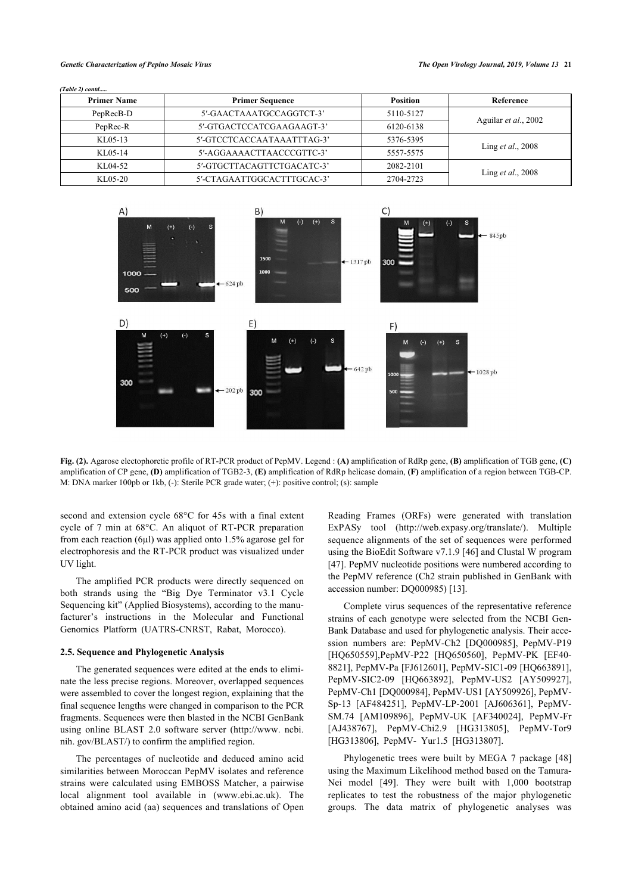*(Table 2) contd.....*

| <b>Primer Name</b> | <b>Primer Sequence</b>     | <b>Position</b> | Reference                 |  |  |  |  |
|--------------------|----------------------------|-----------------|---------------------------|--|--|--|--|
| PepRecB-D          | 5'-GAACTAAATGCCAGGTCT-3'   | 5110-5127       |                           |  |  |  |  |
| PepRec-R           | 5'-GTGACTCCATCGAAGAAGT-3'  | 6120-6138       | Aguilar et al., 2002      |  |  |  |  |
| KL05-13            | 5'-GTCCTCACCAATAAATTTAG-3' | 5376-5395       |                           |  |  |  |  |
| KL05-14            | 5'-AGGAAAACTTAACCCGTTC-3'  | 5557-5575       | Ling <i>et al.</i> , 2008 |  |  |  |  |
| KL04-52            | 5'-GTGCTTACAGTTCTGACATC-3' | 2082-2101       |                           |  |  |  |  |
| KL05-20            | 5'-CTAGAATTGGCACTTTGCAC-3' | 2704-2723       | Ling <i>et al.</i> , 2008 |  |  |  |  |

<span id="page-3-0"></span>

**Fig. (2).** Agarose electophoretic profile of RT-PCR product of PepMV. Legend : **(A)** amplification of RdRp gene, **(B)** amplification of TGB gene, **(C)** amplification of CP gene, **(D)** amplification of TGB2-3, **(E)** amplification of RdRp helicase domain, **(F)** amplification of a region between TGB-CP. M: DNA marker 100pb or 1kb, (-): Sterile PCR grade water; (+): positive control; (s): sample

second and extension cycle 68°C for 45s with a final extent cycle of 7 min at 68°C. An aliquot of RT-PCR preparation from each reaction (6µl) was applied onto 1.5% agarose gel for electrophoresis and the RT-PCR product was visualized under UV light.

The amplified PCR products were directly sequenced on both strands using the "Big Dye Terminator v3.1 Cycle Sequencing kit" (Applied Biosystems), according to the manufacturer's instructions in the Molecular and Functional Genomics Platform (UATRS-CNRST, Rabat, Morocco).

#### **2.5. Sequence and Phylogenetic Analysis**

The generated sequences were edited at the ends to eliminate the less precise regions. Moreover, overlapped sequences were assembled to cover the longest region, explaining that the final sequence lengths were changed in comparison to the PCR fragments. Sequences were then blasted in the NCBI GenBank using online BLAST 2.0 software server([http://www. ncbi.](http://www.ncbi.nih.gov/BLAST/) [nih. gov/BLAST/\)](http://www.ncbi.nih.gov/BLAST/) to confirm the amplified region.

The percentages of nucleotide and deduced amino acid similarities between Moroccan PepMV isolates and reference strains were calculated using EMBOSS Matcher, a pairwise local alignment tool available in [\(www.ebi.ac.uk\)](http://www.ebi.ac.uk). The obtained amino acid (aa) sequences and translations of Open

Reading Frames (ORFs) were generated with translation ExPASy tool([http://web.expasy.org/translate/\)](http://web.expasy.org/translate/). Multiple sequence alignments of the set of sequences were performed using the BioEdit Software v7.1.9 [[46\]](#page-10-8) and Clustal W program [[47](#page-10-9)]. PepMV nucleotide positions were numbered according to the PepMV reference (Ch2 strain published in GenBank with accession number: DQ000985) [\[13](#page-9-24)].

Complete virus sequences of the representative reference strains of each genotype were selected from the NCBI Gen-Bank Database and used for phylogenetic analysis. Their accession numbers are: PepMV-Ch2 [DQ000985], PepMV-P19 [HQ650559],PepMV-P22 [HQ650560], PepMV-PK [EF40- 8821], PepMV-Pa [FJ612601], PepMV-SIC1-09 [HQ663891], PepMV-SIC2-09 [HQ663892], PepMV-US2 [AY509927], PepMV-Ch1 [DQ000984], PepMV-US1 [AY509926], PepMV-Sp-13 [AF484251], PepMV-LP-2001 [AJ606361], PepMV-SM.74 [AM109896], PepMV-UK [AF340024], PepMV-Fr [AJ438767], PepMV-Chi2.9 [HG313805], PepMV-Tor9 [HG313806], PepMV- Yur1.5 [HG313807].

Phylogenetic trees were built by MEGA 7 package [\[48\]](#page-10-10) using the Maximum Likelihood method based on the Tamura-Nei model[[49](#page-10-11)]. They were built with 1,000 bootstrap replicates to test the robustness of the major phylogenetic groups. The data matrix of phylogenetic analyses was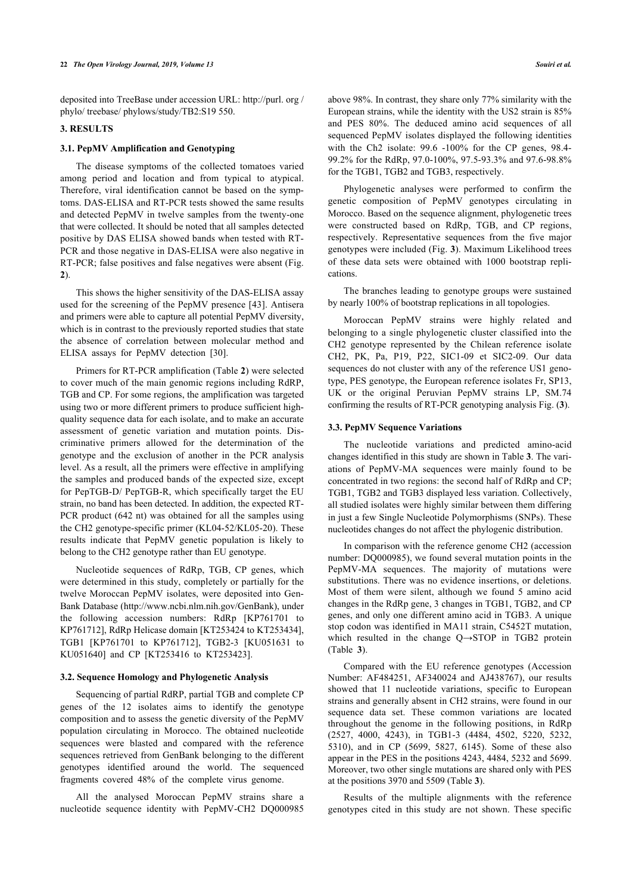deposited into TreeBase under accession URL: [http://purl. org /](http://purl.org/phylo/treebase/phylows/study/TB2:S19550) [phylo/ treebase/ phylows/study/TB2:S19 550](http://purl.org/phylo/treebase/phylows/study/TB2:S19550).

# **3. RESULTS**

# **3.1. PepMV Amplification and Genotyping**

The disease symptoms of the collected tomatoes varied among period and location and from typical to atypical. Therefore, viral identification cannot be based on the symptoms. DAS-ELISA and RT-PCR tests showed the same results and detected PepMV in twelve samples from the twenty-one that were collected. It should be noted that all samples detected positive by DAS ELISA showed bands when tested with RT-PCR and those negative in DAS-ELISA were also negative in RT-PCR; false positives and false negatives were absent (Fig. **[2](#page-3-0)**).

This shows the higher sensitivity of the DAS-ELISA assay used for the screening of the PepMV presence [[43\]](#page-10-5). Antisera and primers were able to capture all potential PepMV diversity, which is in contrast to the previously reported studies that state the absence of correlation between molecular method and ELISA assays for PepMV detection[[30\]](#page-9-20).

Primers for RT-PCR amplification (Table **[2](#page-2-0)**) were selected to cover much of the main genomic regions including RdRP, TGB and CP. For some regions, the amplification was targeted using two or more different primers to produce sufficient highquality sequence data for each isolate, and to make an accurate assessment of genetic variation and mutation points. Discriminative primers allowed for the determination of the genotype and the exclusion of another in the PCR analysis level. As a result, all the primers were effective in amplifying the samples and produced bands of the expected size, except for PepTGB-D/ PepTGB-R, which specifically target the EU strain, no band has been detected. In addition, the expected RT-PCR product (642 nt) was obtained for all the samples using the CH2 genotype-specific primer (KL04-52/KL05-20). These results indicate that PepMV genetic population is likely to belong to the CH2 genotype rather than EU genotype.

Nucleotide sequences of RdRp, TGB, CP genes, which were determined in this study, completely or partially for the twelve Moroccan PepMV isolates, were deposited into Gen-Bank Database (<http://www.ncbi.nlm.nih.gov/GenBank>), under the following accession numbers: RdRp [KP761701 to KP761712], RdRp Helicase domain [KT253424 to KT253434], TGB1 [KP761701 to KP761712], TGB2-3 [KU051631 to KU051640] and CP [KT253416 to KT253423].

# **3.2. Sequence Homology and Phylogenetic Analysis**

Sequencing of partial RdRP, partial TGB and complete CP genes of the 12 isolates aims to identify the genotype composition and to assess the genetic diversity of the PepMV population circulating in Morocco. The obtained nucleotide sequences were blasted and compared with the reference sequences retrieved from GenBank belonging to the different genotypes identified around the world. The sequenced fragments covered 48% of the complete virus genome.

All the analysed Moroccan PepMV strains share a nucleotide sequence identity with PepMV-CH2 DQ000985

above 98%. In contrast, they share only 77% similarity with the European strains, while the identity with the US2 strain is 85% and PES 80%. The deduced amino acid sequences of all sequenced PepMV isolates displayed the following identities with the Ch2 isolate: 99.6 -100% for the CP genes, 98.4- 99.2% for the RdRp, 97.0-100%, 97.5-93.3% and 97.6-98.8% for the TGB1, TGB2 and TGB3, respectively.

Phylogenetic analyses were performed to confirm the genetic composition of PepMV genotypes circulating in Morocco. Based on the sequence alignment, phylogenetic trees were constructed based on RdRp, TGB, and CP regions, respectively. Representative sequences from the five major genotypes were included (Fig. **[3](#page-5-0)**). Maximum Likelihood trees of these data sets were obtained with 1000 bootstrap replications.

The branches leading to genotype groups were sustained by nearly 100% of bootstrap replications in all topologies.

Moroccan PepMV strains were highly related and belonging to a single phylogenetic cluster classified into the CH2 genotype represented by the Chilean reference isolate CH2, PK, Pa, P19, P22, SIC1-09 et SIC2-09. Our data sequences do not cluster with any of the reference US1 genotype, PES genotype, the European reference isolates Fr, SP13, UK or the original Peruvian PepMV strains LP, SM.74 confirming the results of RT-PCR genotyping analysis Fig. (**[3](#page-5-0)**).

#### **3.3. PepMV Sequence Variations**

The nucleotide variations and predicted amino-acid changes identified in this study are shown in Table **[3](#page-6-0)**. The variations of PepMV-MA sequences were mainly found to be concentrated in two regions: the second half of RdRp and CP; TGB1, TGB2 and TGB3 displayed less variation. Collectively, all studied isolates were highly similar between them differing in just a few Single Nucleotide Polymorphisms (SNPs). These nucleotides changes do not affect the phylogenic distribution.

In comparison with the reference genome CH2 (accession number: DQ000985), we found several mutation points in the PepMV-MA sequences. The majority of mutations were substitutions. There was no evidence insertions, or deletions. Most of them were silent, although we found 5 amino acid changes in the RdRp gene, 3 changes in TGB1, TGB2, and CP genes, and only one different amino acid in TGB3. A unique stop codon was identified in MA11 strain, C5452T mutation, which resulted in the change Q→STOP in TGB2 protein (Table**3**).

Compared with the EU reference genotypes (Accession Number: AF484251, AF340024 and AJ438767), our results showed that 11 nucleotide variations, specific to European strains and generally absent in CH2 strains, were found in our sequence data set. These common variations are located throughout the genome in the following positions, in RdRp (2527, 4000, 4243), in TGB1-3 (4484, 4502, 5220, 5232, 5310), and in CP (5699, 5827, 6145). Some of these also appear in the PES in the positions 4243, 4484, 5232 and 5699. Moreover, two other single mutations are shared only with PES at the positions 3970 and 5509 (Table **[3](#page-6-0)**).

Results of the multiple alignments with the reference genotypes cited in this study are not shown. These specific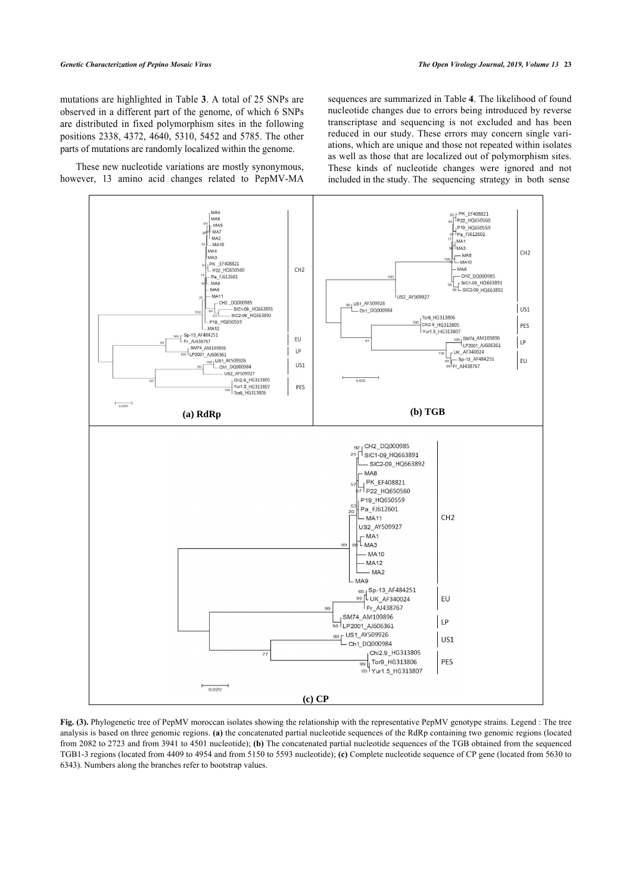mutations are highlighted in Table **[3](#page-6-0)**. A total of 25 SNPs are observed in a different part of the genome, of which 6 SNPs are distributed in fixed polymorphism sites in the following positions 2338, 4372, 4640, 5310, 5452 and 5785. The other parts of mutations are randomly localized within the genome.

<span id="page-5-0"></span>These new nucleotide variations are mostly synonymous, however, 13 amino acid changes related to PepMV-MA sequences are summarized in Table **[4](#page-7-0)**. The likelihood of found nucleotide changes due to errors being introduced by reverse transcriptase and sequencing is not excluded and has been reduced in our study. These errors may concern single variations, which are unique and those not repeated within isolates as well as those that are localized out of polymorphism sites. These kinds of nucleotide changes were ignored and not included in the study. The sequencing strategy in both sense



**Fig. (3).** Phylogenetic tree of PepMV moroccan isolates showing the relationship with the representative PepMV genotype strains. Legend : The tree analysis is based on three genomic regions. **(a)** the concatenated partial nucleotide sequences of the RdRp containing two genomic regions (located from 2082 to 2723 and from 3941 to 4501 nucleotide); **(b)** The concatenated partial nucleotide sequences of the TGB obtained from the sequenced TGB1-3 regions (located from 4409 to 4954 and from 5150 to 5593 nucleotide); **(c)** Complete nucleotide sequence of CP gene (located from 5630 to 6343). Numbers along the branches refer to bootstrap values.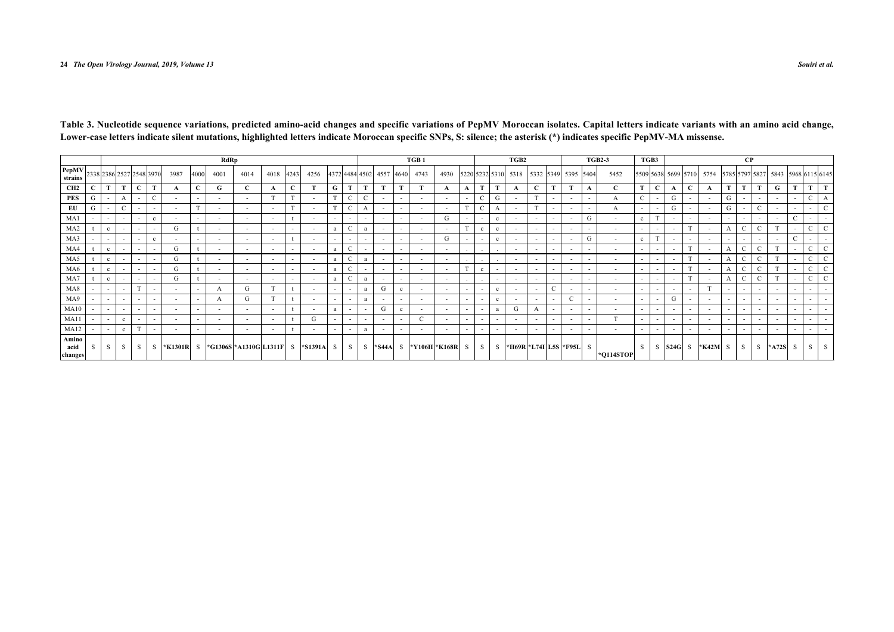<span id="page-6-0"></span>

|                                       |   |              |                          |                          |                          |                          |                          | RdRp                     |                                       |                          |              |                  |                          |                          |              |           |                          | TGB <sub>1</sub>         |                          |                          |                |                          | TGB2                                    |                          |                          |                          |                          | <b>TGB2-3</b>            | TGB3                     |                          |                          |                          |                                                             |                          | $\bf CP$                 |                          |           |               |                          |   |
|---------------------------------------|---|--------------|--------------------------|--------------------------|--------------------------|--------------------------|--------------------------|--------------------------|---------------------------------------|--------------------------|--------------|------------------|--------------------------|--------------------------|--------------|-----------|--------------------------|--------------------------|--------------------------|--------------------------|----------------|--------------------------|-----------------------------------------|--------------------------|--------------------------|--------------------------|--------------------------|--------------------------|--------------------------|--------------------------|--------------------------|--------------------------|-------------------------------------------------------------|--------------------------|--------------------------|--------------------------|-----------|---------------|--------------------------|---|
| <b>PepMV</b> 2338 2386 2527 2548 3970 |   |              |                          |                          |                          | 3987                     | 4000                     | 4001                     | 4014                                  | 4018                     | 4243         | 4256             |                          | 4372 4484 4502           |              | 4557 4640 |                          | 4743                     | 4930                     |                          |                |                          | 5220 5232 5310 5318 5332 5349 5395 5404 |                          |                          |                          |                          | 5452                     |                          |                          |                          |                          | 5509 5638 5699 5710 5754 5785 5797 5827 5843 5968 6115 6145 |                          |                          |                          |           |               |                          |   |
| CH <sub>2</sub>                       |   | m            | т.                       | $\mathbf{C}$             | m                        | A                        | $\mathbf C$              | G                        | C                                     | A                        | $\mathbf{C}$ |                  | G                        | T                        | T.           | T.        | T.                       | $\mathbf T$              | A                        | $\mathbf A$              | T              | T                        |                                         | $\mathbf C$              | m                        | T.                       | A                        | $\mathbf C$              |                          | $\mathbf{C}$             | A                        | $\mathbf{C}$             | A                                                           | T                        | T                        | T.                       | G         | T.            | T                        |   |
| PES                                   | G |              |                          | $\sim$                   | $\mathcal{C}$            |                          | $\overline{\phantom{a}}$ | $\overline{\phantom{0}}$ |                                       | $^{\circ}$               | T            | $\sim$           | T                        | $\mathbf{C}$             | $\mathbf{C}$ |           | $\sim$                   |                          | $\sim$                   | $\overline{\phantom{a}}$ | $\mathcal{C}$  | G                        |                                         | T                        | $\overline{\phantom{a}}$ | $\sim$                   | $\overline{\phantom{a}}$ | А                        |                          | $\overline{\phantom{a}}$ | G                        | $\overline{\phantom{a}}$ | ٠.                                                          | G                        | $\sim$                   | $\sim$                   |           | $\sim$        |                          |   |
| EU                                    | G |              |                          | $\sim$                   | $\overline{\phantom{a}}$ |                          |                          | $\overline{\phantom{a}}$ | $\overline{\phantom{a}}$              | $\sim$                   |              | $\sim$           |                          | $\mathbf C$              |              |           | $\sim$                   | $\overline{\phantom{a}}$ | $\overline{\phantom{a}}$ |                          | $\mathcal{C}$  | А                        |                                         |                          | $\overline{\phantom{a}}$ | $\overline{\phantom{a}}$ | $\overline{\phantom{a}}$ | А                        | $\overline{\phantom{a}}$ |                          | G                        | $\overline{\phantom{a}}$ | $\overline{\phantom{a}}$                                    | G                        | $\overline{\phantom{a}}$ | C                        |           | $\sim$        |                          |   |
| MA <sub>1</sub>                       |   |              |                          |                          |                          |                          |                          | . .                      |                                       | $\sim$                   |              |                  | $\overline{\phantom{a}}$ | $\overline{\phantom{a}}$ |              |           |                          |                          | G                        |                          |                |                          |                                         | $\sim$                   | $\overline{\phantom{a}}$ | $\overline{\phantom{a}}$ | G                        | $\overline{\phantom{a}}$ |                          |                          |                          | $\overline{\phantom{a}}$ | ٠.                                                          | $\overline{\phantom{a}}$ | $\overline{\phantom{a}}$ | $\overline{\phantom{a}}$ |           |               |                          |   |
| MA <sub>2</sub>                       |   | $\mathbf c$  |                          |                          |                          | G                        |                          | $\overline{\phantom{a}}$ | $\overline{\phantom{a}}$              | $\overline{\phantom{a}}$ | $\sim$       |                  | a                        | $\mathcal{C}$            |              |           | $\sim$                   |                          | $\overline{\phantom{a}}$ |                          |                |                          |                                         | $\overline{\phantom{a}}$ | $\overline{\phantom{a}}$ | $\overline{\phantom{a}}$ | $\overline{\phantom{a}}$ | $\overline{\phantom{a}}$ |                          | $\overline{\phantom{a}}$ |                          |                          | ٠.                                                          |                          | C                        | $\mathcal{C}$            |           | $\sim$        |                          |   |
| MA3                                   |   | $\sim$       |                          | $\sim$                   | $\mathbf c$              | $\sim$                   | $\overline{\phantom{a}}$ | $\overline{\phantom{a}}$ |                                       | $\sim$                   |              | $\sim$           | $\sim$                   | $\sim$                   | $\sim$       |           | $\sim$                   | $\overline{\phantom{a}}$ | G                        | $\overline{\phantom{a}}$ | $\overline{a}$ | $\mathbf{c}$             |                                         | $\sim$                   | $\overline{\phantom{a}}$ | $\overline{\phantom{a}}$ | G                        | $\overline{\phantom{a}}$ | c                        |                          |                          | $\overline{\phantom{a}}$ | <b>.</b>                                                    | $\sim$                   | $\sim$                   | $\sim$                   |           | $\mathcal{C}$ |                          |   |
| MA4                                   |   | $\mathbf c$  |                          | $\sim$                   | $\overline{\phantom{a}}$ | G                        |                          | $\overline{\phantom{0}}$ | $\overline{\phantom{a}}$              | $\overline{\phantom{a}}$ | $\sim$       | $\sim$           | a                        | $\mathcal{C}$            | $\sim$       |           | $\sim$                   | $\overline{\phantom{a}}$ | $\sim$                   |                          |                |                          | $\sim$                                  | $\overline{\phantom{a}}$ | $\overline{\phantom{a}}$ | $\overline{\phantom{a}}$ | $\overline{\phantom{0}}$ | $\overline{\phantom{a}}$ |                          | $\overline{\phantom{0}}$ | $\overline{\phantom{a}}$ |                          | $\sim$                                                      | A                        | $\mathbf{C}$             | $\mathcal{C}$            |           | $\sim$        |                          |   |
| MA5                                   |   | $\mathbf{c}$ |                          | $\overline{\phantom{a}}$ | $\overline{\phantom{a}}$ | G                        |                          | $\overline{\phantom{a}}$ | $\overline{\phantom{a}}$              | $\sim$                   | $\sim$       | $\sim$           | a                        | $\mathcal{C}$            |              |           | $\sim$                   | $\overline{\phantom{a}}$ | $\overline{\phantom{a}}$ |                          |                |                          |                                         | $\sim$                   | $\overline{\phantom{a}}$ | $\overline{\phantom{a}}$ | $\overline{\phantom{a}}$ | $\overline{\phantom{a}}$ |                          | $\overline{\phantom{a}}$ |                          |                          | $\overline{\phantom{a}}$                                    |                          | C                        | $\mathcal{C}$            |           | $\sim$        |                          |   |
| MA6                                   |   | $\mathbf{c}$ |                          |                          |                          | G                        |                          | $\overline{\phantom{a}}$ | $\overline{\phantom{a}}$              | $\sim$                   | $\sim$       | $\sim$           | a                        | C                        | $\sim$       |           | $\sim$                   | $\overline{\phantom{a}}$ | $\overline{\phantom{a}}$ |                          |                | $\overline{\phantom{a}}$ |                                         | $\sim$                   | $\overline{\phantom{a}}$ | $\overline{\phantom{a}}$ | $\overline{\phantom{a}}$ | $\overline{\phantom{a}}$ |                          | $\overline{\phantom{a}}$ |                          |                          |                                                             | A                        | Ċ                        | C                        |           | $\sim$        |                          |   |
| MA7                                   |   | c            |                          |                          |                          | G                        |                          | $\overline{\phantom{a}}$ | $\overline{\phantom{a}}$              | $\overline{\phantom{a}}$ | $\sim$       | $\sim$           | a                        |                          |              |           | $\sim$                   | $\overline{\phantom{a}}$ | $\overline{\phantom{a}}$ |                          |                | $\overline{\phantom{0}}$ |                                         | $\sim$                   | $\overline{\phantom{a}}$ | $\overline{\phantom{a}}$ | $\overline{\phantom{0}}$ | $\overline{\phantom{a}}$ |                          | $\sim$                   |                          |                          | $\sim$                                                      | A                        | C                        | $\mathcal{C}$            |           |               |                          |   |
| MA8                                   |   |              |                          |                          |                          |                          |                          | A                        | G.                                    |                          |              | $\sim$           | $\overline{\phantom{a}}$ | $\sim$                   |              | G.        | $\mathbf{c}$             |                          | $\overline{\phantom{a}}$ | $\overline{\phantom{a}}$ | $\sim$         | $\mathbf{c}$             |                                         | $\sim$                   | C                        | $\overline{\phantom{a}}$ | $\overline{\phantom{a}}$ | $\overline{\phantom{a}}$ |                          | $\overline{\phantom{a}}$ | $\overline{\phantom{a}}$ | $\overline{\phantom{a}}$ |                                                             | $\overline{\phantom{a}}$ | $\overline{a}$           | $\overline{\phantom{a}}$ |           | $\sim$        |                          |   |
| MA9                                   |   | $\sim$       | $\overline{\phantom{a}}$ | $\overline{\phantom{a}}$ | $\overline{\phantom{a}}$ | $\sim$                   | $\overline{\phantom{a}}$ | A                        | G                                     |                          |              | $\sim$           | $\sim$                   | $\sim$                   |              | $\sim$    | $\sim$                   | $\overline{\phantom{a}}$ | $\overline{\phantom{a}}$ | $\sim$                   | $\sim$         | $\mathbf{c}$             | $\sim$                                  | $\sim$                   | $\overline{\phantom{a}}$ | $\sqrt{2}$               | $\overline{\phantom{a}}$ | $\overline{\phantom{a}}$ |                          | $\overline{\phantom{a}}$ | G                        | $\overline{\phantom{a}}$ | $\overline{\phantom{a}}$                                    | $\sim$                   | $\sim$                   | $\sim$                   |           | $\sim$        | $\sim$                   |   |
| MA10                                  |   | $\sim$       | $\overline{\phantom{a}}$ | $\sim$                   | $\overline{\phantom{a}}$ | $\sim$                   | $\overline{\phantom{a}}$ | $\overline{\phantom{a}}$ | $\overline{\phantom{a}}$              | $\sim$                   |              | $\sim$           | a                        | $\sim$                   | $\sim$       | G         | $\mathbf{c}$             | . .                      | $\overline{\phantom{a}}$ | $\sim$                   | $\sim$         |                          | G                                       |                          | $\overline{\phantom{a}}$ | $\overline{\phantom{a}}$ | $\overline{\phantom{a}}$ | $\overline{\phantom{a}}$ | $\overline{\phantom{a}}$ | $\sim$                   | $\sim$                   | $\overline{\phantom{a}}$ | $\sim$                                                      | $\sim$                   | $\sim$                   | $\sim$                   |           | $\sim$        | $\sim$                   |   |
| MA11                                  |   | $\sim$       | <sub>c</sub>             | $\sim$                   | $\overline{\phantom{a}}$ | $\sim$                   |                          | $\overline{\phantom{a}}$ | $\overline{\phantom{0}}$              | $\sim$                   |              | G                | $\sim$                   | $\sim$                   | $\sim$       |           | $\overline{\phantom{a}}$ |                          | $\sim$                   | $\sim$                   | $\sim$         | $\overline{\phantom{a}}$ | $\sim$                                  | $\sim$                   | $\overline{\phantom{a}}$ | $\overline{\phantom{a}}$ | $\overline{\phantom{a}}$ |                          | $\overline{\phantom{a}}$ | $\overline{\phantom{a}}$ | $\sim$                   | $\overline{\phantom{a}}$ | $\sim$                                                      | $\sim$                   | $\sim$                   | $\sim$                   |           | $\sim$        | $\overline{\phantom{a}}$ |   |
| MA12                                  |   | $\sim$       |                          |                          |                          | $\overline{\phantom{a}}$ |                          | $\overline{\phantom{a}}$ | $\overline{\phantom{a}}$              | $\sim$                   |              | $\sim$           | $\overline{\phantom{a}}$ | $\overline{\phantom{a}}$ |              |           | $\sim$                   |                          | $\overline{\phantom{a}}$ | $\overline{\phantom{a}}$ | $\sim$         |                          |                                         | $\overline{\phantom{a}}$ | $\overline{\phantom{a}}$ | $\overline{\phantom{a}}$ | $\overline{\phantom{a}}$ | $\overline{\phantom{a}}$ |                          | $\overline{\phantom{a}}$ |                          | $\overline{\phantom{a}}$ | $\overline{\phantom{a}}$                                    | $\overline{\phantom{a}}$ | $\overline{\phantom{a}}$ | $\overline{\phantom{a}}$ |           | $\sim$        |                          |   |
| Amino<br>acid<br>changes              | S | S.           | S.                       | S.                       | S.                       |                          |                          |                          | *K1301R  S  *G1306S *A1310G L1311F  S |                          |              | $\star$ S1391A S |                          | S                        |              | $S$ *S44A |                          | S  *Y106H *K168R         |                          | s l                      | -s l           |                          | S *H69R *L74I L5S *F95L S               |                          |                          |                          |                          | *Q114STOP                | <sup>S</sup>             | S.                       | $S24G$ S                 |                          | $*K42M$ S                                                   |                          | S.                       |                          | $S$ *A72S | S.            | -S I                     | S |

**Table 3. Nucleotide sequence variations, predicted amino-acid changes and specific variations of PepMV Moroccan isolates. Capital letters indicate variants with an amino acid change, Lower-case letters indicate silent mutations, highlighted letters indicate Moroccan specific SNPs, S: silence; the asterisk (\*) indicates specific PepMV-MA missense.**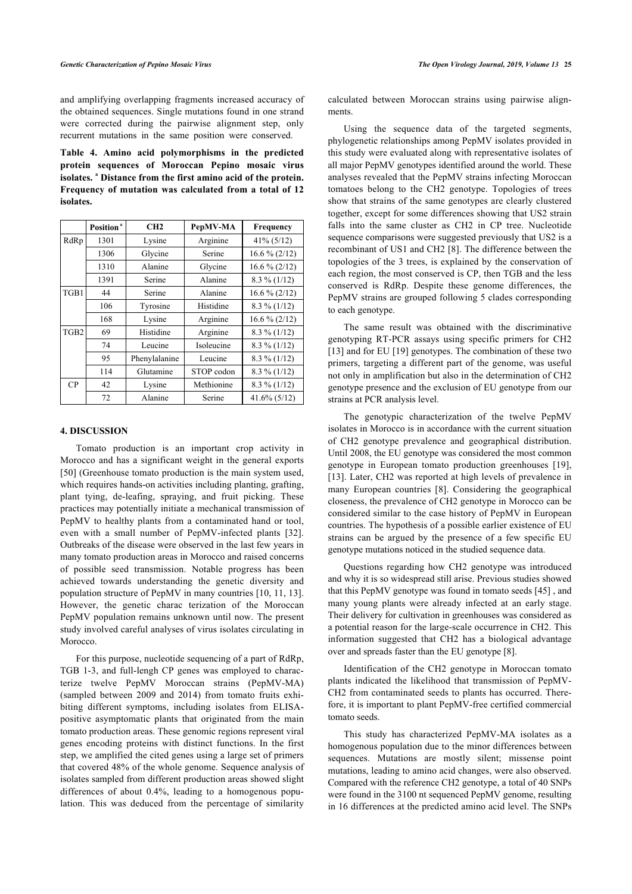and amplifying overlapping fragments increased accuracy of the obtained sequences. Single mutations found in one strand were corrected during the pairwise alignment step, only recurrent mutations in the same position were conserved.

<span id="page-7-0"></span>**Table 4. Amino acid polymorphisms in the predicted protein sequences of Moroccan Pepino mosaic virus isolates. <sup>a</sup> Distance from the first amino acid of the protein. Frequency of mutation was calculated from a total of 12 isolates.**

|                  | Position <sup>a</sup> | CH2           | PepMV-MA   | Frequency       |
|------------------|-----------------------|---------------|------------|-----------------|
| RdRp             | 1301                  | Lysine        | Arginine   | $41\% (5/12)$   |
|                  | 1306                  | Glycine       | Serine     | $16.6\% (2/12)$ |
|                  | 1310                  | Alanine       | Glycine    | $16.6\% (2/12)$ |
|                  | 1391                  | Serine        | Alanine    | $8.3\%$ (1/12)  |
| TGB1             | 44                    | Serine        | Alanine    | $16.6\% (2/12)$ |
|                  | 106                   | Tyrosine      | Histidine  | $8.3\%$ (1/12)  |
|                  | 168                   | Lysine        | Arginine   | $16.6\% (2/12)$ |
| TGB <sub>2</sub> | 69                    | Histidine     | Arginine   | $8.3\%$ (1/12)  |
|                  | 74                    | Leucine       | Isoleucine | $8.3\%$ (1/12)  |
|                  | 95                    | Phenylalanine | Leucine    | $8.3\%$ (1/12)  |
|                  | 114                   | Glutamine     | STOP codon | $8.3\%$ (1/12)  |
| CP               | 42                    | Lysine        | Methionine | $8.3\%$ (1/12)  |
|                  | 72                    | Alanine       | Serine     | $41.6\%$ (5/12) |

### **4. DISCUSSION**

Tomato production is an important crop activity in Morocco and has a significant weight in the general exports [[50\]](#page-10-12) (Greenhouse tomato production is the main system used, which requires hands-on activities including planting, grafting, plant tying, de-leafing, spraying, and fruit picking. These practices may potentially initiate a mechanical transmission of PepMV to healthy plants from a contaminated hand or tool, even with a small number of PepMV-infected plants[[32\]](#page-9-22). Outbreaks of the disease were observed in the last few years in many tomato production areas in Morocco and raised concerns of possible seed transmission. Notable progress has been achieved towards understanding the genetic diversity and population structure of PepMV in many countries [\[10](#page-9-31), [11](#page-9-27), [13](#page-9-24)]. However, the genetic charac terization of the Moroccan PepMV population remains unknown until now. The present study involved careful analyses of virus isolates circulating in Morocco.

For this purpose, nucleotide sequencing of a part of RdRp, TGB 1-3, and full-lengh CP genes was employed to characterize twelve PepMV Moroccan strains (PepMV-MA) (sampled between 2009 and 2014) from tomato fruits exhibiting different symptoms, including isolates from ELISApositive asymptomatic plants that originated from the main tomato production areas. These genomic regions represent viral genes encoding proteins with distinct functions. In the first step, we amplified the cited genes using a large set of primers that covered 48% of the whole genome. Sequence analysis of isolates sampled from different production areas showed slight differences of about 0.4%, leading to a homogenous population. This was deduced from the percentage of similarity calculated between Moroccan strains using pairwise alignments.

Using the sequence data of the targeted segments, phylogenetic relationships among PepMV isolates provided in this study were evaluated along with representative isolates of all major PepMV genotypes identified around the world. These analyses revealed that the PepMV strains infecting Moroccan tomatoes belong to the CH2 genotype. Topologies of trees show that strains of the same genotypes are clearly clustered together, except for some differences showing that US2 strain falls into the same cluster as CH2 in CP tree. Nucleotide sequence comparisons were suggested previously that US2 is a recombinant of US1 and CH2 [[8\]](#page-9-30). The difference between the topologies of the 3 trees, is explained by the conservation of each region, the most conserved is CP, then TGB and the less conserved is RdRp. Despite these genome differences, the PepMV strains are grouped following 5 clades corresponding to each genotype.

The same result was obtained with the discriminative genotyping RT-PCR assays using specific primers for CH2 [[13](#page-9-24)] and for EU [[19\]](#page-9-10) genotypes. The combination of these two primers, targeting a different part of the genome, was useful not only in amplification but also in the determination of CH2 genotype presence and the exclusion of EU genotype from our strains at PCR analysis level.

The genotypic characterization of the twelve PepMV isolates in Morocco is in accordance with the current situation of CH2 genotype prevalence and geographical distribution. Until 2008, the EU genotype was considered the most common genotype in European tomato production greenhouses[[19](#page-9-10)], [[13](#page-9-24)]. Later, CH2 was reported at high levels of prevalence in many European countries[[8\]](#page-9-30). Considering the geographical closeness, the prevalence of CH2 genotype in Morocco can be considered similar to the case history of PepMV in European countries. The hypothesis of a possible earlier existence of EU strains can be argued by the presence of a few specific EU genotype mutations noticed in the studied sequence data.

Questions regarding how CH2 genotype was introduced and why it is so widespread still arise. Previous studies showed that this PepMV genotype was found in tomato seeds [[45\]](#page-10-7) , and many young plants were already infected at an early stage. Their delivery for cultivation in greenhouses was considered as a potential reason for the large-scale occurrence in CH2. This information suggested that CH2 has a biological advantage over and spreads faster than the EU genotype [\[8\]](#page-9-30).

Identification of the CH2 genotype in Moroccan tomato plants indicated the likelihood that transmission of PepMV-CH2 from contaminated seeds to plants has occurred. Therefore, it is important to plant PepMV-free certified commercial tomato seeds.

This study has characterized PepMV-MA isolates as a homogenous population due to the minor differences between sequences. Mutations are mostly silent; missense point mutations, leading to amino acid changes, were also observed. Compared with the reference CH2 genotype, a total of 40 SNPs were found in the 3100 nt sequenced PepMV genome, resulting in 16 differences at the predicted amino acid level. The SNPs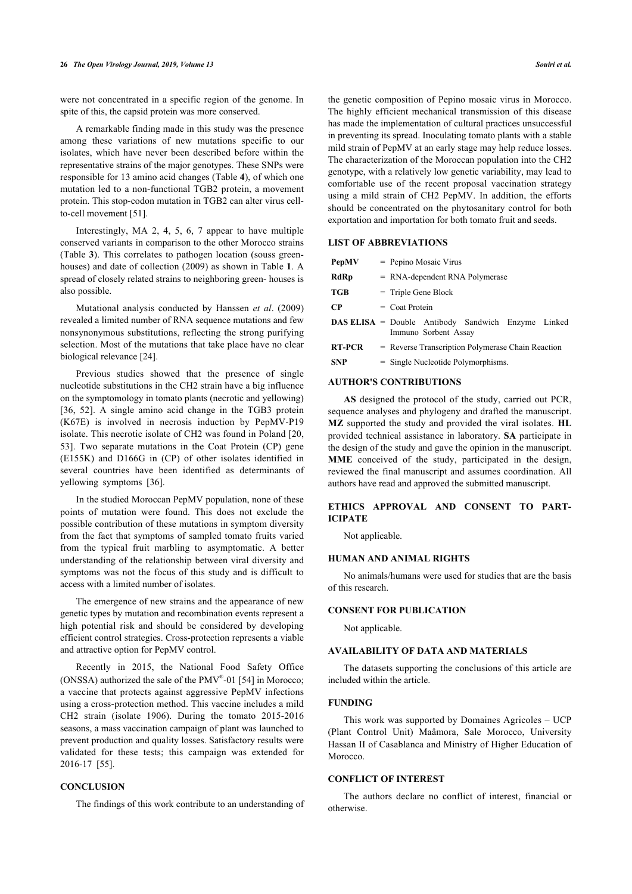were not concentrated in a specific region of the genome. In spite of this, the capsid protein was more conserved.

A remarkable finding made in this study was the presence among these variations of new mutations specific to our isolates, which have never been described before within the representative strains of the major genotypes. These SNPs were responsible for 13 amino acid changes (Table **[4](#page-7-0)**), of which one mutation led to a non-functional TGB2 protein, a movement protein. This stop-codon mutation in TGB2 can alter virus cellto-cell movement [\[51](#page-10-13)].

Interestingly, MA 2, 4, 5, 6, 7 appear to have multiple conserved variants in comparison to the other Morocco strains (Table **[3](#page-6-0)**). This correlates to pathogen location (souss greenhouses) and date of collection (2009) as shown in Table **[1](#page-1-0)**. A spread of closely related strains to neighboring green- houses is also possible.

Mutational analysis conducted by Hanssen *et al*. (2009) revealed a limited number of RNA sequence mutations and few nonsynonymous substitutions, reflecting the strong purifying selection. Most of the mutations that take place have no clear biological relevance [[24\]](#page-9-14).

Previous studies showed that the presence of single nucleotide substitutions in the CH2 strain have a big influence on the symptomology in tomato plants (necrotic and yellowing) [[36,](#page-9-28) [52\]](#page-10-14). A single amino acid change in the TGB3 protein (K67E) is involved in necrosis induction by PepMV-P19 isolate. This necrotic isolate of CH2 was found in Poland [[20](#page-9-11), [53\]](#page-10-15). Two separate mutations in the Coat Protein (CP) gene (E155K) and D166G in (CP) of other isolates identified in several countries have been identified as determinants of yellowing symptoms [\[36](#page-9-28)].

In the studied Moroccan PepMV population, none of these points of mutation were found. This does not exclude the possible contribution of these mutations in symptom diversity from the fact that symptoms of sampled tomato fruits varied from the typical fruit marbling to asymptomatic. A better understanding of the relationship between viral diversity and symptoms was not the focus of this study and is difficult to access with a limited number of isolates.

The emergence of new strains and the appearance of new genetic types by mutation and recombination events represent a high potential risk and should be considered by developing efficient control strategies. Cross-protection represents a viable and attractive option for PepMV control.

Recently in 2015, the National Food Safety Office (ONSSA) authorized the sale of the PMV® -01 [[54\]](#page-10-16) in Morocco; a vaccine that protects against aggressive PepMV infections using a cross-protection method. This vaccine includes a mild CH2 strain (isolate 1906). During the tomato 2015-2016 seasons, a mass vaccination campaign of plant was launched to prevent production and quality losses. Satisfactory results were validated for these tests; this campaign was extended for 2016-17[[55\]](#page-10-17).

# **CONCLUSION**

The findings of this work contribute to an understanding of

the genetic composition of Pepino mosaic virus in Morocco. The highly efficient mechanical transmission of this disease has made the implementation of cultural practices unsuccessful in preventing its spread. Inoculating tomato plants with a stable mild strain of PepMV at an early stage may help reduce losses. The characterization of the Moroccan population into the CH2 genotype, with a relatively low genetic variability, may lead to comfortable use of the recent proposal vaccination strategy using a mild strain of CH2 PepMV. In addition, the efforts should be concentrated on the phytosanitary control for both exportation and importation for both tomato fruit and seeds.

# **LIST OF ABBREVIATIONS**

| <b>PepMV</b>  | $=$ Pepino Mosaic Virus                                                           |  |  |  |  |  |  |  |  |  |  |
|---------------|-----------------------------------------------------------------------------------|--|--|--|--|--|--|--|--|--|--|
| <b>RdRp</b>   | $=$ RNA-dependent RNA Polymerase                                                  |  |  |  |  |  |  |  |  |  |  |
| TGB           | $=$ Triple Gene Block                                                             |  |  |  |  |  |  |  |  |  |  |
| CP            | $=$ Coat Protein                                                                  |  |  |  |  |  |  |  |  |  |  |
|               | <b>DAS ELISA</b> = Double Antibody Sandwich Enzyme Linked<br>Immuno Sorbent Assay |  |  |  |  |  |  |  |  |  |  |
| <b>RT-PCR</b> | = Reverse Transcription Polymerase Chain Reaction                                 |  |  |  |  |  |  |  |  |  |  |
| <b>SNP</b>    | $=$ Single Nucleotide Polymorphisms.                                              |  |  |  |  |  |  |  |  |  |  |

# **AUTHOR'S CONTRIBUTIONS**

**AS** designed the protocol of the study, carried out PCR, sequence analyses and phylogeny and drafted the manuscript. **MZ** supported the study and provided the viral isolates. **HL** provided technical assistance in laboratory. **SA** participate in the design of the study and gave the opinion in the manuscript. **MME** conceived of the study, participated in the design, reviewed the final manuscript and assumes coordination. All authors have read and approved the submitted manuscript.

# **ETHICS APPROVAL AND CONSENT TO PART-ICIPATE**

Not applicable.

# **HUMAN AND ANIMAL RIGHTS**

No animals/humans were used for studies that are the basis of this research.

### **CONSENT FOR PUBLICATION**

Not applicable.

### **AVAILABILITY OF DATA AND MATERIALS**

The datasets supporting the conclusions of this article are included within the article.

#### **FUNDING**

This work was supported by Domaines Agricoles – UCP (Plant Control Unit) Maâmora, Sale Morocco, University Hassan II of Casablanca and Ministry of Higher Education of Morocco.

# **CONFLICT OF INTEREST**

The authors declare no conflict of interest, financial or otherwise.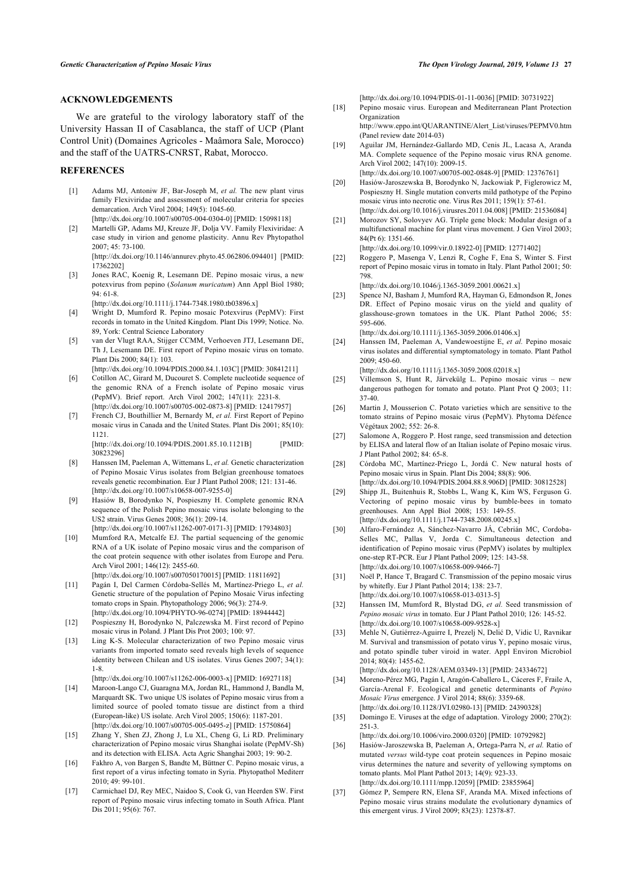# **ACKNOWLEDGEMENTS**

<span id="page-9-9"></span>We are grateful to the virology laboratory staff of the University Hassan II of Casablanca, the staff of UCP (Plant Control Unit) (Domaines Agricoles - Maâmora Sale, Morocco) and the staff of the UATRS-CNRST, Rabat, Morocco.

# <span id="page-9-11"></span><span id="page-9-10"></span><span id="page-9-0"></span>**REFERENCES**

- [1] Adams MJ, Antoniw JF, Bar-Joseph M, *et al.* The new plant virus family Flexiviridae and assessment of molecular criteria for species demarcation. Arch Virol 2004; 149(5): 1045-60. [\[http://dx.doi.org/10.1007/s00705-004-0304-0](http://dx.doi.org/10.1007/s00705-004-0304-0)] [PMID: [15098118\]](http://www.ncbi.nlm.nih.gov/pubmed/15098118)
- <span id="page-9-12"></span><span id="page-9-1"></span>[2] Martelli GP, Adams MJ, Kreuze JF, Dolja VV. Family Flexiviridae: A case study in virion and genome plasticity. Annu Rev Phytopathol 2007; 45: 73-100. [\[http://dx.doi.org/10.1146/annurev.phyto.45.062806.094401](http://dx.doi.org/10.1146/annurev.phyto.45.062806.094401)] [PMID:
	- [17362202\]](http://www.ncbi.nlm.nih.gov/pubmed/17362202)
- <span id="page-9-15"></span><span id="page-9-13"></span><span id="page-9-2"></span>[3] Jones RAC, Koenig R, Lesemann DE. Pepino mosaic virus, a new potexvirus from pepino (*Solanum muricatum*) Ann Appl Biol 1980; 94: 61-8.
	- [\[http://dx.doi.org/10.1111/j.1744-7348.1980.tb03896.x\]](http://dx.doi.org/10.1111/j.1744-7348.1980.tb03896.x)
- <span id="page-9-3"></span>[4] Wright D, Mumford R. Pepino mosaic Potexvirus (PepMV): First records in tomato in the United Kingdom. Plant Dis 1999; Notice. No. 89, York: Central Science Laboratory
- <span id="page-9-14"></span><span id="page-9-4"></span>[5] van der Vlugt RAA, Stijger CCMM, Verhoeven JTJ, Lesemann DE, Th J, Lesemann DE. First report of Pepino mosaic virus on tomato. Plant Dis 2000; 84(1): 103.
- <span id="page-9-16"></span>[\[http://dx.doi.org/10.1094/PDIS.2000.84.1.103C](http://dx.doi.org/10.1094/PDIS.2000.84.1.103C)] [PMID: [30841211\]](http://www.ncbi.nlm.nih.gov/pubmed/30841211) [6] Cotillon AC, Girard M, Ducouret S. Complete nucleotide sequence of
- the genomic RNA of a French isolate of Pepino mosaic virus (PepMV). Brief report. Arch Virol 2002; 147(11): 2231-8. [\[http://dx.doi.org/10.1007/s00705-002-0873-8](http://dx.doi.org/10.1007/s00705-002-0873-8)] [PMID: [12417957\]](http://www.ncbi.nlm.nih.gov/pubmed/12417957)
- <span id="page-9-17"></span>[7] French CJ, Bouthillier M, Bernardy M, *et al.* First Report of Pepino mosaic virus in Canada and the United States. Plant Dis 2001; 85(10): 1121.

[\[http://dx.doi.org/10.1094/PDIS.2001.85.10.1121B\]](http://dx.doi.org/10.1094/PDIS.2001.85.10.1121B) [PMID: [30823296\]](http://www.ncbi.nlm.nih.gov/pubmed/30823296)

- <span id="page-9-30"></span><span id="page-9-18"></span>[8] Hanssen IM, Paeleman A, Wittemans L, *et al.* Genetic characterization of Pepino Mosaic Virus isolates from Belgian greenhouse tomatoes reveals genetic recombination. Eur J Plant Pathol 2008; 121: 131-46. [\[http://dx.doi.org/10.1007/s10658-007-9255-0](http://dx.doi.org/10.1007/s10658-007-9255-0)]
- <span id="page-9-19"></span>[9] Hasiów B, Borodynko N, Pospieszny H. Complete genomic RNA sequence of the Polish Pepino mosaic virus isolate belonging to the US2 strain. Virus Genes 2008; 36(1): 209-14. [\[http://dx.doi.org/10.1007/s11262-007-0171-3](http://dx.doi.org/10.1007/s11262-007-0171-3)] [PMID: [17934803\]](http://www.ncbi.nlm.nih.gov/pubmed/17934803)
- <span id="page-9-31"></span><span id="page-9-20"></span>[10] Mumford RA, Metcalfe EJ. The partial sequencing of the genomic RNA of a UK isolate of Pepino mosaic virus and the comparison of the coat protein sequence with other isolates from Europe and Peru. Arch Virol 2001; 146(12): 2455-60.
- <span id="page-9-27"></span><span id="page-9-21"></span>[\[http://dx.doi.org/10.1007/s007050170015\]](http://dx.doi.org/10.1007/s007050170015) [PMID: [11811692\]](http://www.ncbi.nlm.nih.gov/pubmed/11811692) [11] Pagán I, Del Carmen Córdoba-Sellés M, Martínez-Priego L, *et al.*
- <span id="page-9-22"></span>Genetic structure of the population of Pepino Mosaic Virus infecting tomato crops in Spain. Phytopathology 2006; 96(3): 274-9. [\[http://dx.doi.org/10.1094/PHYTO-96-0274](http://dx.doi.org/10.1094/PHYTO-96-0274)] [PMID: [18944442\]](http://www.ncbi.nlm.nih.gov/pubmed/18944442)
- [12] Pospieszny H, Borodynko N, Palczewska M. First record of Pepino mosaic virus in Poland. J Plant Dis Prot 2003; 100: 97.
- <span id="page-9-24"></span><span id="page-9-23"></span>[13] Ling K-S. Molecular characterization of two Pepino mosaic virus variants from imported tomato seed reveals high levels of sequence identity between Chilean and US isolates. Virus Genes 2007; 34(1): 1-8.
- <span id="page-9-25"></span><span id="page-9-5"></span>[\[http://dx.doi.org/10.1007/s11262-006-0003-x](http://dx.doi.org/10.1007/s11262-006-0003-x)] [PMID: [16927118\]](http://www.ncbi.nlm.nih.gov/pubmed/16927118) [14] Maroon-Lango CJ, Guaragna MA, Jordan RL, Hammond J, Bandla M, Marquardt SK. Two unique US isolates of Pepino mosaic virus from a
- <span id="page-9-26"></span>limited source of pooled tomato tissue are distinct from a third (European-like) US isolate. Arch Virol 2005; 150(6): 1187-201. [\[http://dx.doi.org/10.1007/s00705-005-0495-z\]](http://dx.doi.org/10.1007/s00705-005-0495-z) [PMID: [15750864\]](http://www.ncbi.nlm.nih.gov/pubmed/15750864)
- <span id="page-9-28"></span><span id="page-9-6"></span>[15] Zhang Y, Shen ZJ, Zhong J, Lu XL, Cheng G, Li RD. Preliminary characterization of Pepino mosaic virus Shanghai isolate (PepMV-Sh) and its detection with ELISA. Acta Agric Shanghai 2003; 19: 90-2.
- <span id="page-9-7"></span>[16] Fakhro A, von Bargen S, Bandte M, Büttner C. Pepino mosaic virus, a first report of a virus infecting tomato in Syria. Phytopathol Mediterr 2010; 49: 99-101.
- <span id="page-9-29"></span><span id="page-9-8"></span>[17] Carmichael DJ, Rey MEC, Naidoo S, Cook G, van Heerden SW. First report of Pepino mosaic virus infecting tomato in South Africa. Plant Dis 2011; 95(6): 767.

[\[http://dx.doi.org/10.1094/PDIS-01-11-0036\]](http://dx.doi.org/10.1094/PDIS-01-11-0036) [PMID: [30731922](http://www.ncbi.nlm.nih.gov/pubmed/30731922)]

- [18] Pepino mosaic virus. European and Mediterranean Plant Protection Organization [http://www.eppo.int/QUARANTINE/Alert\\_List/viruses/PEPMV0.htm](http://www.eppo.int/QUARANTINE/Alert_List/viruses/PEPMV0.htm)
- (Panel review date 2014-03) [19] Aguilar JM, Hernández-Gallardo MD, Cenis JL, Lacasa A, Aranda MA. Complete sequence of the Pepino mosaic virus RNA genome. Arch Virol 2002; 147(10): 2009-15.

[\[http://dx.doi.org/10.1007/s00705-002-0848-9\]](http://dx.doi.org/10.1007/s00705-002-0848-9) [PMID: [12376761](http://www.ncbi.nlm.nih.gov/pubmed/12376761)]

- [20] Hasiów-Jaroszewska B, Borodynko N, Jackowiak P, Figlerowicz M, Pospieszny H. Single mutation converts mild pathotype of the Pepino mosaic virus into necrotic one. Virus Res 2011; 159(1): 57-61. [\[http://dx.doi.org/10.1016/j.virusres.2011.04.008](http://dx.doi.org/10.1016/j.virusres.2011.04.008)] [PMID: [21536084\]](http://www.ncbi.nlm.nih.gov/pubmed/21536084)
- [21] Morozov SY, Solovyev AG. Triple gene block: Modular design of a multifunctional machine for plant virus movement. J Gen Virol 2003; 84(Pt 6): 1351-66.

[\[http://dx.doi.org/10.1099/vir.0.18922-0\]](http://dx.doi.org/10.1099/vir.0.18922-0) [PMID: [12771402](http://www.ncbi.nlm.nih.gov/pubmed/12771402)]

[22] Roggero P, Masenga V, Lenzi R, Coghe F, Ena S, Winter S. First report of Pepino mosaic virus in tomato in Italy. Plant Pathol 2001; 50: 798.

[\[http://dx.doi.org/10.1046/j.1365-3059.2001.00621.x\]](http://dx.doi.org/10.1046/j.1365-3059.2001.00621.x)

[23] Spence NJ, Basham J, Mumford RA, Hayman G, Edmondson R, Jones DR. Effect of Pepino mosaic virus on the yield and quality of glasshouse-grown tomatoes in the UK. Plant Pathol 2006; 55: 595-606.

[\[http://dx.doi.org/10.1111/j.1365-3059.2006.01406.x\]](http://dx.doi.org/10.1111/j.1365-3059.2006.01406.x)

[24] Hanssen IM, Paeleman A, Vandewoestijne E, *et al.* Pepino mosaic virus isolates and differential symptomatology in tomato. Plant Pathol 2009; 450-60.

[\[http://dx.doi.org/10.1111/j.1365-3059.2008.02018.x\]](http://dx.doi.org/10.1111/j.1365-3059.2008.02018.x)

- [25] Villemson S, Hunt R, Järvekülg L. Pepino mosaic virus new dangerous pathogen for tomato and potato. Plant Prot Q 2003; 11: 37-40.
- [26] Martin J, Mousserion C. Potato varieties which are sensitive to the tomato strains of Pepino mosaic virus (PepMV). Phytoma Défence Végétaux 2002; 552: 26-8.
- [27] Salomone A, Roggero P. Host range, seed transmission and detection by ELISA and lateral flow of an Italian isolate of Pepino mosaic virus. J Plant Pathol 2002; 84: 65-8.
- [28] Córdoba MC, Martínez-Priego L, Jordá C. New natural hosts of Pepino mosaic virus in Spain. Plant Dis 2004; 88(8): 906. [\[http://dx.doi.org/10.1094/PDIS.2004.88.8.906D\]](http://dx.doi.org/10.1094/PDIS.2004.88.8.906D) [PMID: [30812528](http://www.ncbi.nlm.nih.gov/pubmed/30812528)]
- [29] Shipp JL, Buitenhuis R, Stobbs L, Wang K, Kim WS, Ferguson G. Vectoring of pepino mosaic virus by bumble-bees in tomato greenhouses. Ann Appl Biol 2008; 153: 149-55. [\[http://dx.doi.org/10.1111/j.1744-7348.2008.00245.x\]](http://dx.doi.org/10.1111/j.1744-7348.2008.00245.x)
- [30] Alfaro-Fernández A, Sánchez-Navarro JÁ, Cebrián MC, Cordoba-Selles MC, Pallas V, Jorda C. Simultaneous detection and identification of Pepino mosaic virus (PepMV) isolates by multiplex one-step RT-PCR. Eur J Plant Pathol 2009; 125: 143-58. [\[http://dx.doi.org/10.1007/s10658-009-9466-7\]](http://dx.doi.org/10.1007/s10658-009-9466-7)
- [31] Noël P, Hance T, Bragard C. Transmission of the pepino mosaic virus by whitefly. Eur J Plant Pathol 2014; 138: 23-7. [\[http://dx.doi.org/10.1007/s10658-013-0313-5\]](http://dx.doi.org/10.1007/s10658-013-0313-5)
- [32] Hanssen IM, Mumford R, Blystad DG, *et al.* Seed transmission of *Pepino mosaic virus* in tomato. Eur J Plant Pathol 2010; 126: 145-52. [\[http://dx.doi.org/10.1007/s10658-009-9528-x\]](http://dx.doi.org/10.1007/s10658-009-9528-x)
- [33] Mehle N, Gutiérrez-Aguirre I, Prezelj N, Delić D, Vidic U, Ravnikar M. Survival and transmission of potato virus Y, pepino mosaic virus, and potato spindle tuber viroid in water. Appl Environ Microbiol 2014; 80(4): 1455-62.
- [\[http://dx.doi.org/10.1128/AEM.03349-13\]](http://dx.doi.org/10.1128/AEM.03349-13) [PMID: [24334672](http://www.ncbi.nlm.nih.gov/pubmed/24334672)] [34] Moreno-Pérez MG, Pagán I, Aragón-Caballero L, Cáceres F, Fraile A, García-Arenal F. Ecological and genetic determinants of *Pepino Mosaic Virus* emergence. J Virol 2014; 88(6): 3359-68. [\[http://dx.doi.org/10.1128/JVI.02980-13](http://dx.doi.org/10.1128/JVI.02980-13)] [PMID: [24390328\]](http://www.ncbi.nlm.nih.gov/pubmed/24390328)
- [35] Domingo E. Viruses at the edge of adaptation. Virology 2000; 270(2): 251-3.
- [\[http://dx.doi.org/10.1006/viro.2000.0320](http://dx.doi.org/10.1006/viro.2000.0320)] [PMID: [10792982\]](http://www.ncbi.nlm.nih.gov/pubmed/10792982) [36] Hasiów-Jaroszewska B, Paeleman A, Ortega-Parra N, *et al.* Ratio of mutated *versus* wild-type coat protein sequences in Pepino mosaic virus determines the nature and severity of yellowing symptoms on tomato plants. Mol Plant Pathol 2013; 14(9): 923-33.
	- [\[http://dx.doi.org/10.1111/mpp.12059](http://dx.doi.org/10.1111/mpp.12059)] [PMID: [23855964\]](http://www.ncbi.nlm.nih.gov/pubmed/23855964)
- [37] Gómez P, Sempere RN, Elena SF, Aranda MA. Mixed infections of Pepino mosaic virus strains modulate the evolutionary dynamics of this emergent virus. J Virol 2009; 83(23): 12378-87.